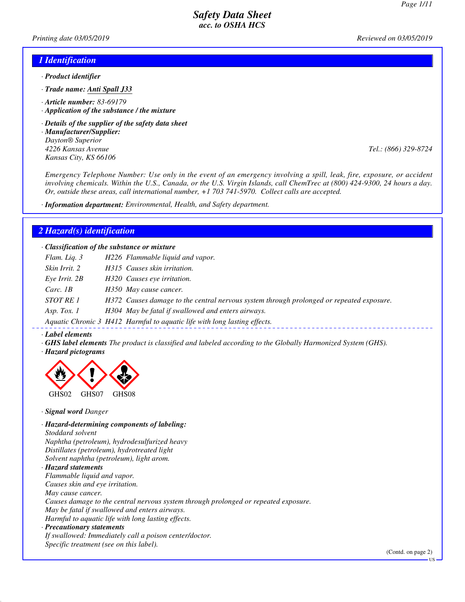*Printing date 03/05/2019 Reviewed on 03/05/2019*

### *1 Identification*

- *· Product identifier*
- *· Trade name: Anti Spall J33*
- *· Article number: 83-69179*
- *· Application of the substance / the mixture*
- *· Details of the supplier of the safety data sheet*
- *· Manufacturer/Supplier: Dayton® Superior 4226 Kansas Avenue Tel.: (866) 329-8724 Kansas City, KS 66106*

*Emergency Telephone Number: Use only in the event of an emergency involving a spill, leak, fire, exposure, or accident involving chemicals. Within the U.S., Canada, or the U.S. Virgin Islands, call ChemTrec at (800) 424-9300, 24 hours a day. Or, outside these areas, call international number, +1 703 741-5970. Collect calls are accepted.*

*· Information department: Environmental, Health, and Safety department.*

### *2 Hazard(s) identification*

*· Classification of the substance or mixture*

| Flam. Liq. 3      | H226 Flammable liquid and vapor.                                                         |
|-------------------|------------------------------------------------------------------------------------------|
| Skin Irrit. 2     | H315 Causes skin irritation.                                                             |
| $Eye$ Irrit. $2B$ | H320 Causes eye irritation.                                                              |
| Carc. $1B$        | H350 May cause cancer.                                                                   |
| STOT RE 1         | H372 Causes damage to the central nervous system through prolonged or repeated exposure. |
| Asp. Tox. $1$     | H304 May be fatal if swallowed and enters airways.                                       |
|                   | Aquatic Chronic 3 H412 Harmful to aquatic life with long lasting effects.                |

#### *· Label elements*

- *· GHS label elements The product is classified and labeled according to the Globally Harmonized System (GHS).*
- *· Hazard pictograms*



*· Signal word Danger*

*· Hazard-determining components of labeling: Stoddard solvent Naphtha (petroleum), hydrodesulfurized heavy Distillates (petroleum), hydrotreated light Solvent naphtha (petroleum), light arom. · Hazard statements Flammable liquid and vapor. Causes skin and eye irritation. May cause cancer. Causes damage to the central nervous system through prolonged or repeated exposure. May be fatal if swallowed and enters airways. Harmful to aquatic life with long lasting effects. · Precautionary statements If swallowed: Immediately call a poison center/doctor. Specific treatment (see on this label).*

(Contd. on page 2)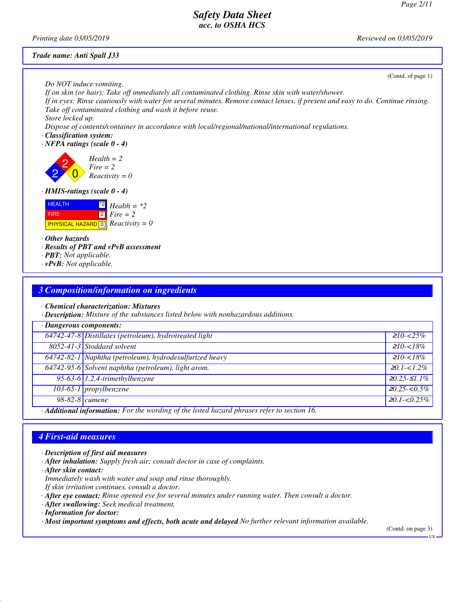(Contd. of page 1)

## *Safety Data Sheet acc. to OSHA HCS*

*Printing date 03/05/2019 Reviewed on 03/05/2019*

#### *Trade name: Anti Spall J33*

*Do NOT induce vomiting.*

*If on skin (or hair): Take off immediately all contaminated clothing. Rinse skin with water/shower. If in eyes: Rinse cautiously with water for several minutes. Remove contact lenses, if present and easy to do. Continue rinsing. Take off contaminated clothing and wash it before reuse. Store locked up.*

*Dispose of contents/container in accordance with local/regional/national/international regulations.*

#### *· Classification system:*

*· NFPA ratings (scale 0 - 4)*



#### *· HMIS-ratings (scale 0 - 4)*



*· Other hazards*

- *· Results of PBT and vPvB assessment*
- *· PBT: Not applicable.*
- *· vPvB: Not applicable.*

## *3 Composition/information on ingredients*

*· Chemical characterization: Mixtures*

*· Description: Mixture of the substances listed below with nonhazardous additions.*

| · Dangerous components:                                                                    |                                                         |                     |
|--------------------------------------------------------------------------------------------|---------------------------------------------------------|---------------------|
|                                                                                            | 64742-47-8 Distillates (petroleum), hydrotreated light  | $\geq 10 - 25\%$    |
|                                                                                            | 8052-41-3 Stoddard solvent                              | $\geq 10 - 18\%$    |
|                                                                                            | 64742-82-1 Naphtha (petroleum), hydrodesulfurized heavy | $\geq 10 - 18\%$    |
|                                                                                            | 64742-95-6 Solvent naphtha (petroleum), light arom.     | $\geq 0.1 - 1.2\%$  |
|                                                                                            | 95-63-6 $1,2,4$ -trimethylbenzene                       | $≥0.25-≤1.1%$       |
|                                                                                            | $103-65-1$ propylbenzene                                | $\geq 0.25 < 0.5\%$ |
| $98-82-8$ cumene                                                                           |                                                         | $20.1 - 0.25\%$     |
| Additional informations. Fou the wouding of the listed housed physoge ushes to cootion 16. |                                                         |                     |

*· Additional information: For the wording of the listed hazard phrases refer to section 16.*

## *4 First-aid measures*

- *· Description of first aid measures*
- *· After inhalation: Supply fresh air; consult doctor in case of complaints.*

*· After skin contact:*

*Immediately wash with water and soap and rinse thoroughly.*

*If skin irritation continues, consult a doctor.*

- *· After eye contact: Rinse opened eye for several minutes under running water. Then consult a doctor.*
- *· After swallowing: Seek medical treatment.*

*· Information for doctor:*

*· Most important symptoms and effects, both acute and delayed No further relevant information available.*

(Contd. on page 3)

**HS**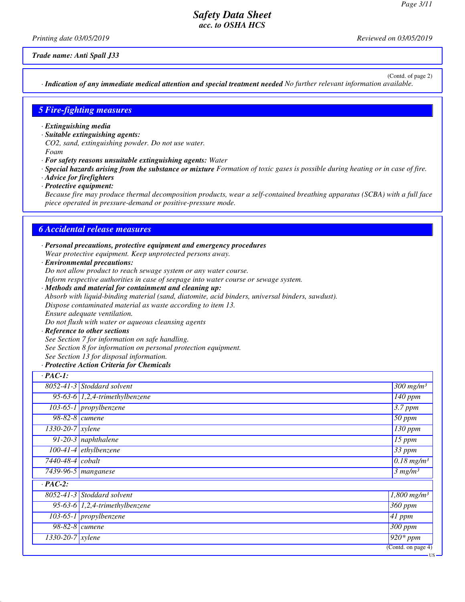*Printing date 03/05/2019 Reviewed on 03/05/2019*

*Trade name: Anti Spall J33*

(Contd. of page 2)

*· Indication of any immediate medical attention and special treatment needed No further relevant information available.*

### *5 Fire-fighting measures*

- *· Extinguishing media*
- *· Suitable extinguishing agents:*
- *CO2, sand, extinguishing powder. Do not use water.*
- *Foam*
- *· For safety reasons unsuitable extinguishing agents: Water*
- *· Special hazards arising from the substance or mixture Formation of toxic gases is possible during heating or in case of fire.*
- *· Advice for firefighters*
- *· Protective equipment:*

*Because fire may produce thermal decomposition products, wear a self-contained breathing apparatus (SCBA) with a full face piece operated in pressure-demand or positive-pressure mode.*

### *6 Accidental release measures*

- *· Personal precautions, protective equipment and emergency procedures Wear protective equipment. Keep unprotected persons away.*
- *· Environmental precautions:*

*Do not allow product to reach sewage system or any water course.*

*Inform respective authorities in case of seepage into water course or sewage system.*

- *· Methods and material for containment and cleaning up: Absorb with liquid-binding material (sand, diatomite, acid binders, universal binders, sawdust). Dispose contaminated material as waste according to item 13. Ensure adequate ventilation. Do not flush with water or aqueous cleansing agents*
- *· Reference to other sections*

*See Section 7 for information on safe handling. See Section 8 for information on personal protection equipment. See Section 13 for disposal information.*

*· Protective Action Criteria for Chemicals*

| $\cdot$ PAC-1:                |                                     |                                        |
|-------------------------------|-------------------------------------|----------------------------------------|
|                               | $8052 - 41 - 3$ Stoddard solvent    | $\frac{300}{300}$ mg/m <sup>3</sup>    |
|                               | 95-63-6 $1,2,4$ -trimethylbenzene   | $140$ ppm                              |
|                               | $103-65-1$ propylbenzene            | $3.7$ ppm                              |
| $98-82-8$ cumene              |                                     | $50$ ppm                               |
| $\overline{1330-20-7}$ xylene |                                     | 130 ppm                                |
|                               | $\overline{91-20-3}$ naphthalene    | $15$ ppm                               |
|                               | $100-41-4$ ethylbenzene             | 33 ppm                                 |
| 7440-48-4 cobalt              |                                     | $\sqrt{0.18}$ mg/m <sup>3</sup>        |
|                               | $\overline{7439-96}$ -5   manganese | 3 mg/m <sup>3</sup>                    |
| $\cdot$ PAC-2:                |                                     |                                        |
|                               | 8052-41-3 Stoddard solvent          | $1,800$ mg/m <sup>3</sup>              |
|                               | 95-63-6 $1,2,4$ -trimethylbenzene   | $360$ ppm                              |
|                               | $103-65-1$ propylbenzene            | $\overline{41}$ ppm                    |
| $98-82-8$ cumene              |                                     | $300$ ppm                              |
| $1330-20-7$ xylene            |                                     | $\sqrt{920*ppm}$                       |
|                               |                                     | $\overline{(\text{Contd. on page 4})}$ |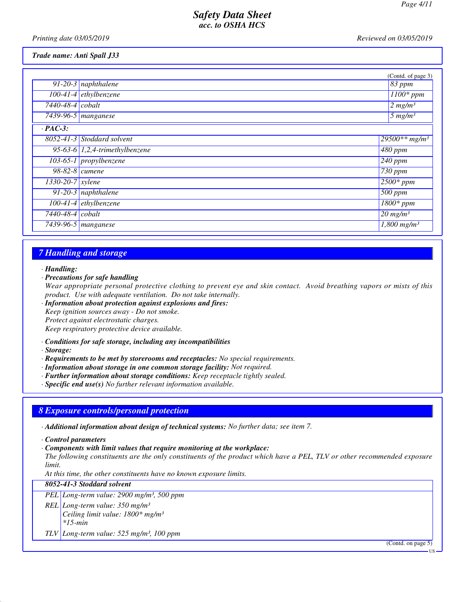*Printing date 03/05/2019 Reviewed on 03/05/2019*

*Trade name: Anti Spall J33*

|                    |                                   | (Contd. of page 3)            |
|--------------------|-----------------------------------|-------------------------------|
|                    | 91-20-3 naphthalene               | $83$ ppm                      |
|                    | $100-41-4$ ethylbenzene           | $\overline{1100}$ * ppm       |
| 7440-48-4 cobalt   |                                   | $\sqrt{2}$ mg/m <sup>3</sup>  |
|                    | $\overline{7439-96-5}$ manganese  | $5$ mg/m <sup>3</sup>         |
| $\cdot$ PAC-3:     |                                   |                               |
|                    | 8052-41-3 Stoddard solvent        | $29500**mg/m^3$               |
|                    | 95-63-6 $1,2,4$ -trimethylbenzene | $\sqrt{480}$ ppm              |
|                    | 103-65-1 propylbenzene            | $240$ ppm                     |
| 98-82-8 cumene     |                                   | $\sqrt{730}$ ppm              |
| $1330-20-7$ xylene |                                   | $\sqrt{2500}$ * ppm           |
|                    | $91-20-3$ naphthalene             | 500 ppm                       |
|                    | 100-41-4 ethylbenzene             | $1800*$ ppm                   |
| 7440-48-4 cobalt   |                                   | $20$ mg/m <sup>3</sup>        |
|                    | 7439-96-5 manganese               | $\sqrt{1,800 \text{ mg}}/m^3$ |

## *7 Handling and storage*

#### *· Handling:*

*· Precautions for safe handling*

*Wear appropriate personal protective clothing to prevent eye and skin contact. Avoid breathing vapors or mists of this product. Use with adequate ventilation. Do not take internally.*

- *· Information about protection against explosions and fires: Keep ignition sources away - Do not smoke. Protect against electrostatic charges. Keep respiratory protective device available.*
- *· Conditions for safe storage, including any incompatibilities*
- *· Storage:*
- *· Requirements to be met by storerooms and receptacles: No special requirements.*
- *· Information about storage in one common storage facility: Not required.*
- *· Further information about storage conditions: Keep receptacle tightly sealed.*

*· Specific end use(s) No further relevant information available.*

## *8 Exposure controls/personal protection*

- *· Additional information about design of technical systems: No further data; see item 7.*
- *· Control parameters*
- *· Components with limit values that require monitoring at the workplace:*

*The following constituents are the only constituents of the product which have a PEL, TLV or other recommended exposure limit.*

*At this time, the other constituents have no known exposure limits.*

| 8052-41-3 Stoddard solvent                                                                                              |  |  |
|-------------------------------------------------------------------------------------------------------------------------|--|--|
| $PEL$ Long-term value: 2900 mg/m <sup>3</sup> , 500 ppm                                                                 |  |  |
| REL <i>Long-term value:</i> 350 mg/m <sup>3</sup><br>Ceiling limit value: 1800* mg/m <sup>3</sup><br>$\frac{*}{5}$ -min |  |  |
| TLV Long-term value: $525$ mg/m <sup>3</sup> , 100 ppm                                                                  |  |  |

(Contd. on page 5)

US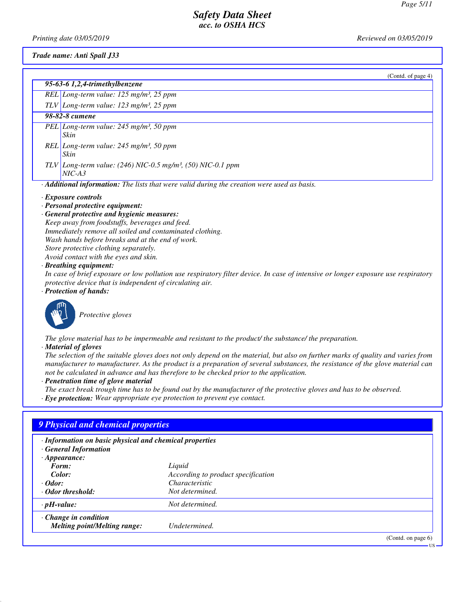*Printing date 03/05/2019 Reviewed on 03/05/2019*

*Trade name: Anti Spall J33*

| (Contd. of page 4)                                                                                                                                                                                                                                                                                                                                                                                                                                                                                                                                                                                                     |
|------------------------------------------------------------------------------------------------------------------------------------------------------------------------------------------------------------------------------------------------------------------------------------------------------------------------------------------------------------------------------------------------------------------------------------------------------------------------------------------------------------------------------------------------------------------------------------------------------------------------|
| 95-63-6 1,2,4-trimethylbenzene                                                                                                                                                                                                                                                                                                                                                                                                                                                                                                                                                                                         |
| REL Long-term value: $125$ mg/m <sup>3</sup> , $25$ ppm                                                                                                                                                                                                                                                                                                                                                                                                                                                                                                                                                                |
| $TLV$ Long-term value: 123 mg/m <sup>3</sup> , 25 ppm                                                                                                                                                                                                                                                                                                                                                                                                                                                                                                                                                                  |
| 98-82-8 cumene                                                                                                                                                                                                                                                                                                                                                                                                                                                                                                                                                                                                         |
| PEL Long-term value: 245 mg/m <sup>3</sup> , 50 ppm<br>Skin                                                                                                                                                                                                                                                                                                                                                                                                                                                                                                                                                            |
| REL Long-term value: 245 mg/m <sup>3</sup> , 50 ppm<br>Skin                                                                                                                                                                                                                                                                                                                                                                                                                                                                                                                                                            |
| TLV Long-term value: $(246)$ NIC-0.5 mg/m <sup>3</sup> , (50) NIC-0.1 ppm<br>$NIC-A3$                                                                                                                                                                                                                                                                                                                                                                                                                                                                                                                                  |
| Additional information: The lists that were valid during the creation were used as basis.                                                                                                                                                                                                                                                                                                                                                                                                                                                                                                                              |
| $\cdot$ Exposure controls<br>· Personal protective equipment:<br>· General protective and hygienic measures:<br>Keep away from foodstuffs, beverages and feed.<br>Immediately remove all soiled and contaminated clothing.<br>Wash hands before breaks and at the end of work.<br>Store protective clothing separately.<br>Avoid contact with the eyes and skin.<br>· Breathing equipment:<br>In case of brief exposure or low pollution use respiratory filter device. In case of intensive or longer exposure use respiratory<br>protective device that is independent of circulating air.<br>· Protection of hands: |
| Protective gloves                                                                                                                                                                                                                                                                                                                                                                                                                                                                                                                                                                                                      |

*The glove material has to be impermeable and resistant to the product/ the substance/ the preparation.*

*· Material of gloves*

*The selection of the suitable gloves does not only depend on the material, but also on further marks of quality and varies from manufacturer to manufacturer. As the product is a preparation of several substances, the resistance of the glove material can not be calculated in advance and has therefore to be checked prior to the application.*

*· Penetration time of glove material*

*The exact break trough time has to be found out by the manufacturer of the protective gloves and has to be observed.*

*· Eye protection: Wear appropriate eye protection to prevent eye contact.*

# *9 Physical and chemical properties*

*· Information on basic physical and chemical properties*

| <b>General Information</b> |  |
|----------------------------|--|
| $\cdot$ Appearance:        |  |
| $\boldsymbol{E}$ compared  |  |

| Form:                               | Liquid                             |
|-------------------------------------|------------------------------------|
| Color:                              | According to product specification |
| $\cdot$ Odor:                       | <i>Characteristic</i>              |
| ⋅ Odor threshold:                   | Not determined.                    |
| $\cdot$ pH-value:                   | Not determined.                    |
| $\cdot$ Change in condition         |                                    |
| <b>Melting point/Melting range:</b> | Undetermined.                      |

(Contd. on page 6)

US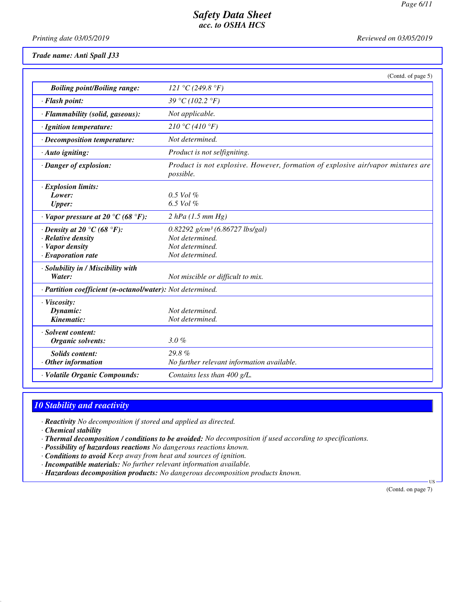*Printing date 03/05/2019 Reviewed on 03/05/2019*

*Trade name: Anti Spall J33*

| Reviewed on 05/03/2013 |  |  |
|------------------------|--|--|
|                        |  |  |

|                                                                                                        | (Contd. of page 5)                                                                                     |
|--------------------------------------------------------------------------------------------------------|--------------------------------------------------------------------------------------------------------|
| <b>Boiling point/Boiling range:</b>                                                                    | 121 °C (249.8 °F)                                                                                      |
| · Flash point:                                                                                         | 39 °C (102.2 °F)                                                                                       |
| · Flammability (solid, gaseous):                                                                       | Not applicable.                                                                                        |
| · Ignition temperature:                                                                                | 210 °C (410 °F)                                                                                        |
| · Decomposition temperature:                                                                           | Not determined.                                                                                        |
| · Auto igniting:                                                                                       | Product is not selfigniting.                                                                           |
| · Danger of explosion:                                                                                 | Product is not explosive. However, formation of explosive air/vapor mixtures are<br>possible.          |
| · Explosion limits:<br>Lower:<br><b>Upper:</b>                                                         | $0.5$ Vol $%$<br>6.5 Vol %                                                                             |
| $\cdot$ Vapor pressure at 20 °C (68 °F):                                                               | 2 hPa (1.5 mm Hg)                                                                                      |
| $\cdot$ Density at 20 °C (68 °F):<br>· Relative density<br>· Vapor density<br>$\cdot$ Evaporation rate | $0.82292$ g/cm <sup>3</sup> (6.86727 lbs/gal)<br>Not determined.<br>Not determined.<br>Not determined. |
| · Solubility in / Miscibility with<br>Water:                                                           | Not miscible or difficult to mix.                                                                      |
| · Partition coefficient (n-octanol/water): Not determined.                                             |                                                                                                        |
| · Viscosity:<br>Dynamic:<br>Kinematic:                                                                 | Not determined.<br>Not determined.                                                                     |
| · Solvent content:<br>Organic solvents:                                                                | 3.0%                                                                                                   |
| <b>Solids content:</b><br>Other information                                                            | 29.8%<br>No further relevant information available.                                                    |
| · Volatile Organic Compounds:                                                                          | Contains less than 400 g/L.                                                                            |

### *10 Stability and reactivity*

*· Reactivity No decomposition if stored and applied as directed.*

*· Chemical stability*

*· Thermal decomposition / conditions to be avoided: No decomposition if used according to specifications.*

*· Possibility of hazardous reactions No dangerous reactions known.*

*· Conditions to avoid Keep away from heat and sources of ignition.*

*· Incompatible materials: No further relevant information available.*

*· Hazardous decomposition products: No dangerous decomposition products known.*

 US (Contd. on page 7)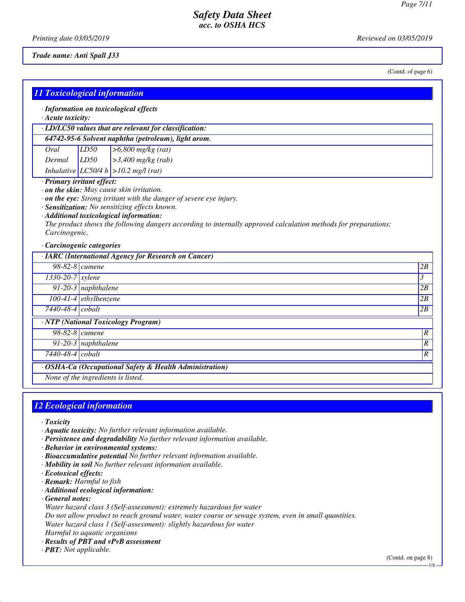*Printing date 03/05/2019 Reviewed on 03/05/2019*

*Trade name: Anti Spall J33*

(Contd. of page 6)

| <b>11 Toxicological information</b>                                      |                                    |                                                                                                                                                                                                                                                                                                                                       |                  |
|--------------------------------------------------------------------------|------------------------------------|---------------------------------------------------------------------------------------------------------------------------------------------------------------------------------------------------------------------------------------------------------------------------------------------------------------------------------------|------------------|
| $\cdot$ Acute toxicity:                                                  |                                    | · Information on toxicological effects                                                                                                                                                                                                                                                                                                |                  |
|                                                                          |                                    | · LD/LC50 values that are relevant for classification:                                                                                                                                                                                                                                                                                |                  |
|                                                                          |                                    | 64742-95-6 Solvent naphtha (petroleum), light arom.                                                                                                                                                                                                                                                                                   |                  |
| Oral                                                                     | LD50                               | $>6,800$ mg/kg (rat)                                                                                                                                                                                                                                                                                                                  |                  |
| Dermal                                                                   | LD50                               | $>3,400$ mg/kg (rab)                                                                                                                                                                                                                                                                                                                  |                  |
|                                                                          |                                    | Inhalative LC50/4 h $>10.2$ mg/l (rat)                                                                                                                                                                                                                                                                                                |                  |
| · Primary irritant effect:<br>Carcinogenic.<br>· Carcinogenic categories |                                    | . on the skin: May cause skin irritation.<br>$\cdot$ on the eye: Strong irritant with the danger of severe eye injury.<br>· Sensitization: No sensitizing effects known.<br>· Additional toxicological information:<br>The product shows the following dangers according to internally approved calculation methods for preparations: |                  |
| 98-82-8 cumene                                                           |                                    | · IARC (International Agency for Research on Cancer)                                                                                                                                                                                                                                                                                  | 2B               |
| $1330-20-7$ xylene                                                       |                                    |                                                                                                                                                                                                                                                                                                                                       | 3                |
|                                                                          | 91-20-3 naphthalene                |                                                                                                                                                                                                                                                                                                                                       | 2B               |
|                                                                          | 100-41-4 ethylbenzene              |                                                                                                                                                                                                                                                                                                                                       | 2B               |
| 7440-48-4 cobalt                                                         |                                    |                                                                                                                                                                                                                                                                                                                                       | 2B               |
|                                                                          |                                    | · NTP (National Toxicology Program)                                                                                                                                                                                                                                                                                                   |                  |
| 98-82-8 cumene                                                           |                                    |                                                                                                                                                                                                                                                                                                                                       | $\boldsymbol{R}$ |
|                                                                          | $91-20-3$ naphthalene              |                                                                                                                                                                                                                                                                                                                                       | $\overline{R}$   |
|                                                                          | $\overline{R}$<br>7440-48-4 cobalt |                                                                                                                                                                                                                                                                                                                                       |                  |
| None of the ingredients is listed.                                       |                                    | OSHA-Ca (Occupational Safety & Health Administration)                                                                                                                                                                                                                                                                                 |                  |

## *12 Ecological information*

- *· Toxicity*
- *· Aquatic toxicity: No further relevant information available.*
- *· Persistence and degradability No further relevant information available.*
- *· Behavior in environmental systems:*
- *· Bioaccumulative potential No further relevant information available.*
- *· Mobility in soil No further relevant information available.*
- *· Ecotoxical effects:*
- *· Remark: Harmful to fish*
- *· Additional ecological information:*
- *· General notes:*
- *Water hazard class 3 (Self-assessment): extremely hazardous for water*
- *Do not allow product to reach ground water, water course or sewage system, even in small quantities.*
- *Water hazard class 1 (Self-assessment): slightly hazardous for water*
- *Harmful to aquatic organisms*
- *· Results of PBT and vPvB assessment*
- *· PBT: Not applicable.*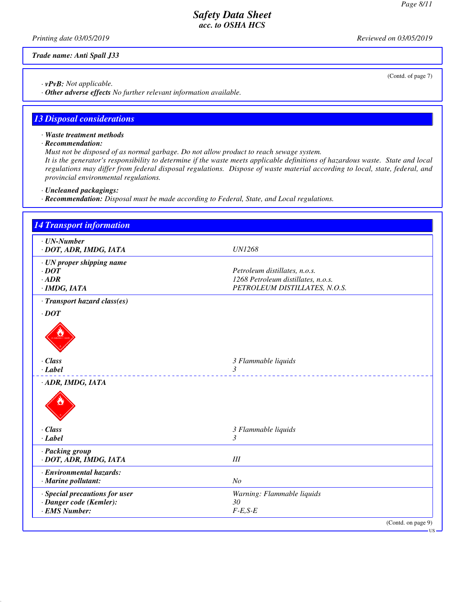(Contd. of page 7)

## *Safety Data Sheet acc. to OSHA HCS*

*Printing date 03/05/2019 Reviewed on 03/05/2019*

*Trade name: Anti Spall J33*

*· vPvB: Not applicable.*

*· Other adverse effects No further relevant information available.*

## *13 Disposal considerations*

- *· Waste treatment methods*
- *· Recommendation:*

*Must not be disposed of as normal garbage. Do not allow product to reach sewage system.*

*It is the generator's responsibility to determine if the waste meets applicable definitions of hazardous waste. State and local regulations may differ from federal disposal regulations. Dispose of waste material according to local, state, federal, and provincial environmental regulations.*

- *· Uncleaned packagings:*
- *· Recommendation: Disposal must be made according to Federal, State, and Local regulations.*

| <b>14 Transport information</b>             |                                    |
|---------------------------------------------|------------------------------------|
| $\cdot$ UN-Number<br>· DOT, ADR, IMDG, IATA | <b>UN1268</b>                      |
|                                             |                                    |
| · UN proper shipping name<br>$\cdot$ DOT    | Petroleum distillates, n.o.s.      |
| $\cdot$ ADR                                 | 1268 Petroleum distillates, n.o.s. |
| $·$ <i>IMDG, IATA</i>                       | PETROLEUM DISTILLATES, N.O.S.      |
| · Transport hazard class(es)                |                                    |
| $\cdot$ DOT                                 |                                    |
|                                             |                                    |
| · Class<br>$-Label$                         | 3 Flammable liquids<br>3           |
| · ADR, IMDG, IATA                           |                                    |
|                                             |                                    |
| · Class                                     | 3 Flammable liquids                |
| $-Label$                                    | 3                                  |
| · Packing group<br>· DOT, ADR, IMDG, IATA   | III                                |
| · Environmental hazards:                    |                                    |
| · Marine pollutant:                         | N <sub>O</sub>                     |
| · Special precautions for user              | Warning: Flammable liquids         |
| · Danger code (Kemler):                     | 30                                 |
| · EMS Number:                               | $F-E,S-E$                          |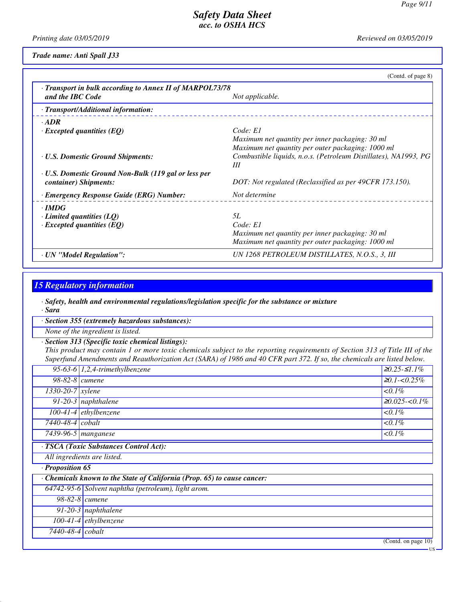*Printing date 03/05/2019 Reviewed on 03/05/2019*

*Trade name: Anti Spall J33*

|                                                                                      | (Cond. of page 8)                                                                                                                                                            |
|--------------------------------------------------------------------------------------|------------------------------------------------------------------------------------------------------------------------------------------------------------------------------|
| · Transport in bulk according to Annex II of MARPOL73/78<br>and the IBC Code         | Not applicable.                                                                                                                                                              |
| · Transport/Additional information:                                                  |                                                                                                                                                                              |
| $\cdot$ ADR<br>$\cdot$ Excepted quantities (EQ)                                      | Code: E1                                                                                                                                                                     |
| <b>· U.S. Domestic Ground Shipments:</b>                                             | Maximum net quantity per inner packaging: 30 ml<br>Maximum net quantity per outer packaging: 1000 ml<br>Combustible liquids, n.o.s. (Petroleum Distillates), NA1993, PG<br>Ш |
| <b>· U.S. Domestic Ground Non-Bulk (119 gal or less per</b><br>container) Shipments: | DOT: Not regulated (Reclassified as per 49CFR 173.150).                                                                                                                      |
| · Emergency Response Guide (ERG) Number:                                             | Not determine                                                                                                                                                                |
| $\cdot$ IMDG<br>$\cdot$ Limited quantities (LQ)<br>$\cdot$ Excepted quantities (EQ)  | <i>5L</i><br>Code: El<br>Maximum net quantity per inner packaging: 30 ml<br>Maximum net quantity per outer packaging: 1000 ml                                                |
| · UN "Model Regulation":                                                             | UN 1268 PETROLEUM DISTILLATES, N.O.S., 3, III                                                                                                                                |

## *15 Regulatory information*

*· Safety, health and environmental regulations/legislation specific for the substance or mixture*

*· Sara*

*· Section 355 (extremely hazardous substances):*

*None of the ingredient is listed.*

*· Section 313 (Specific toxic chemical listings):*

*This product may contain 1 or more toxic chemicals subject to the reporting requirements of Section 313 of Title III of the Superfund Amendments and Reauthorization Act (SARA) of 1986 and 40 CFR part 372. If so, the chemicals are listed below.*

|                               | 95-63-6 $1,2,4$ -trimethylbenzene                                      | $≥0.25-S1.1%$        |
|-------------------------------|------------------------------------------------------------------------|----------------------|
| 98-82-8 $\alpha$              |                                                                        | $\geq 0.1 - 0.25\%$  |
| $\overline{1330-20-7}$ xylene |                                                                        | $0.1\%$              |
|                               | $91-20-3$ naphthalene                                                  | $\geq 0.025 < 0.1\%$ |
|                               | $100-41-4$ ethylbenzene                                                | $0.1\%$              |
| 7440-48-4 cobalt              |                                                                        | $0.1\%$              |
|                               | 7439-96-5 manganese                                                    | $0.1\%$              |
|                               | · TSCA (Toxic Substances Control Act):                                 |                      |
|                               | All ingredients are listed.                                            |                      |
| · Proposition 65              |                                                                        |                      |
|                               | Chemicals known to the State of California (Prop. 65) to cause cancer: |                      |
|                               | 64742-95-6 Solvent naphtha (petroleum), light arom.                    |                      |
|                               | $98-82-8$ cumene                                                       |                      |
|                               | $\overline{91-20-3}$ naphthalene                                       |                      |
|                               | $100-41-4$ ethylbenzene                                                |                      |
| $7440 - 48 - 4 \; \cosh t$    |                                                                        |                      |
|                               |                                                                        | (Contd. on page 10)  |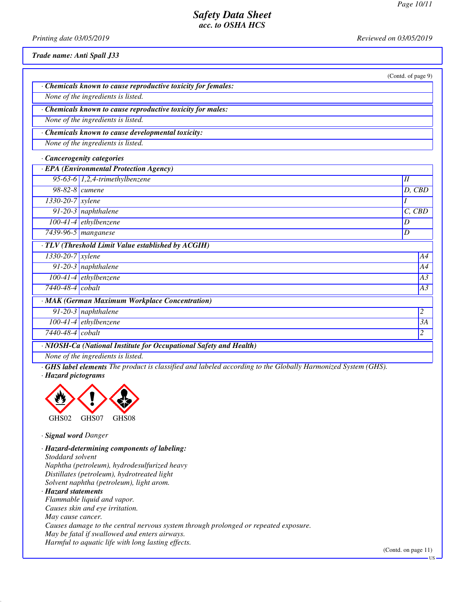(Contd. of page 9)

## *Safety Data Sheet acc. to OSHA HCS*

*Printing date 03/05/2019 Reviewed on 03/05/2019*

*Trade name: Anti Spall J33*

| · Chemicals known to cause reproductive toxicity for females: |
|---------------------------------------------------------------|
| None of the ingredients is listed.                            |
|                                                               |
| · Chemicals known to cause reproductive toxicity for males:   |
| None of the ingredients is listed.                            |
|                                                               |
| · Chemicals known to cause developmental toxicity:            |

*None of the ingredients is listed.*

*· Cancerogenity categories*

|                                                                    | · EPA (Environmental Protection Agency)            |            |  |  |
|--------------------------------------------------------------------|----------------------------------------------------|------------|--|--|
|                                                                    | 95-63-6 $1,2,4$ -trimethylbenzene                  | II         |  |  |
| $98-82-8$ cumene                                                   |                                                    | $D,$ $CBD$ |  |  |
| $1330-20-7$ xylene                                                 |                                                    |            |  |  |
|                                                                    | 91-20-3 naphthalene                                | $C,$ $CBD$ |  |  |
|                                                                    | $100-41-4$ ethylbenzene                            | D          |  |  |
|                                                                    | $\overline{7439-96}$ -5   manganese                | D          |  |  |
|                                                                    | · TLV (Threshold Limit Value established by ACGIH) |            |  |  |
| $1330-20-7$ xylene                                                 |                                                    | A4         |  |  |
|                                                                    | $\overline{91-20-3}$ naphthalene                   | A4         |  |  |
|                                                                    | $100-41-4$ ethylbenzene                            | A3         |  |  |
| $\overline{7440}$ -48-4 $\vert \textit{cobalt} \vert$              |                                                    | A3         |  |  |
|                                                                    | · MAK (German Maximum Workplace Concentration)     |            |  |  |
|                                                                    | 91-20-3 naphthalene                                | 2          |  |  |
|                                                                    | $100-41-4$ ethylbenzene                            | 3A         |  |  |
| 7440-48-4 cobalt                                                   |                                                    | 2          |  |  |
| · NIOSH-Ca (National Institute for Occupational Safety and Health) |                                                    |            |  |  |

*None of the ingredients is listed.*

*· GHS label elements The product is classified and labeled according to the Globally Harmonized System (GHS). · Hazard pictograms*



*· Signal word Danger*

*· Hazard-determining components of labeling: Stoddard solvent Naphtha (petroleum), hydrodesulfurized heavy Distillates (petroleum), hydrotreated light*

*Solvent naphtha (petroleum), light arom.*

*· Hazard statements Flammable liquid and vapor. Causes skin and eye irritation. May cause cancer. Causes damage to the central nervous system through prolonged or repeated exposure. May be fatal if swallowed and enters airways. Harmful to aquatic life with long lasting effects.*

(Contd. on page 11)

US